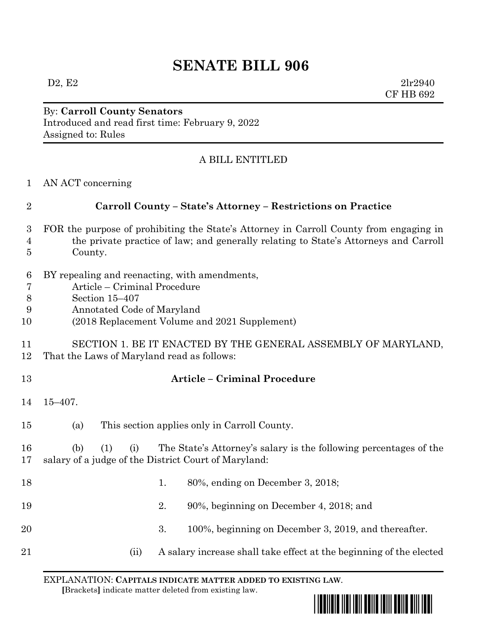## **SENATE BILL 906**

 $D2, E2$  2lr2940 CF HB 692

## By: **Carroll County Senators** Introduced and read first time: February 9, 2022 Assigned to: Rules

## A BILL ENTITLED

|  | AN ACT concerning |  |
|--|-------------------|--|
|  |                   |  |

| $\overline{2}$           | Carroll County - State's Attorney - Restrictions on Practice                                                                                                                              |  |  |  |  |  |
|--------------------------|-------------------------------------------------------------------------------------------------------------------------------------------------------------------------------------------|--|--|--|--|--|
| 3<br>$\overline{4}$<br>5 | FOR the purpose of prohibiting the State's Attorney in Carroll County from engaging in<br>the private practice of law; and generally relating to State's Attorneys and Carroll<br>County. |  |  |  |  |  |
| 6<br>7<br>8<br>9<br>10   | BY repealing and reenacting, with amendments,<br>Article – Criminal Procedure<br>Section 15-407<br>Annotated Code of Maryland<br>(2018 Replacement Volume and 2021 Supplement)            |  |  |  |  |  |
| 11<br>12                 | SECTION 1. BE IT ENACTED BY THE GENERAL ASSEMBLY OF MARYLAND,<br>That the Laws of Maryland read as follows:                                                                               |  |  |  |  |  |
| 13                       | <b>Article - Criminal Procedure</b>                                                                                                                                                       |  |  |  |  |  |
| 14                       | $15 - 407$ .                                                                                                                                                                              |  |  |  |  |  |
| 15                       | This section applies only in Carroll County.<br>(a)                                                                                                                                       |  |  |  |  |  |
| 16<br>17                 | The State's Attorney's salary is the following percentages of the<br>(b)<br>(1)<br>(i)<br>salary of a judge of the District Court of Maryland:                                            |  |  |  |  |  |
| 18                       | 1.<br>80%, ending on December 3, 2018;                                                                                                                                                    |  |  |  |  |  |
| 19                       | 2.<br>90%, beginning on December 4, 2018; and                                                                                                                                             |  |  |  |  |  |
| 20                       | 3.<br>100%, beginning on December 3, 2019, and thereafter.                                                                                                                                |  |  |  |  |  |
| 21                       | A salary increase shall take effect at the beginning of the elected<br>(ii)                                                                                                               |  |  |  |  |  |

EXPLANATION: **CAPITALS INDICATE MATTER ADDED TO EXISTING LAW**.  **[**Brackets**]** indicate matter deleted from existing law.